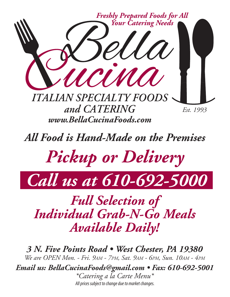

*All Food is Hand-Made on the Premises*

*Pickup or Delivery*



*Full Selection of Individual Grab-N-Go Meals Available Daily!*

*3 N. Five Points Road • West Chester, PA 19380 We are OPEN Mon. - Fri. 9AM - 7PM, Sat. 9AM - 6PM, Sun. 10AM - 4PM Email us: BellaCucinaFoods@gmail.com • Fax: 610-692-5001 \*Catering a la Carte Menu\* All prices subject to change due to market changes.*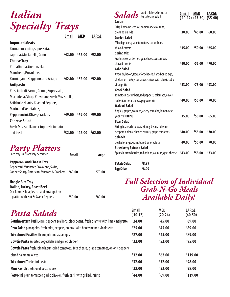| Italian                                                                                                       |              |            |              | Add chicken, shrimp or<br>tuna to any salad<br><b>Salads</b><br>Caesar                                                                           | <b>Small</b>  | <b>MED</b><br>$(10-12)$ $(25-30)$ | <b>LARGE</b><br>$(35-40)$ |
|---------------------------------------------------------------------------------------------------------------|--------------|------------|--------------|--------------------------------------------------------------------------------------------------------------------------------------------------|---------------|-----------------------------------|---------------------------|
| <b>Specialty Trays</b>                                                                                        | <b>Small</b> | <b>MED</b> | <b>LARGE</b> | Crisp Romaine lettuce, homemade croutons,<br>dressing on side<br><b>Garden Salad</b>                                                             | \$30.00       | \$45.00                           | \$60.00                   |
| <b>Imported Meats</b><br>Parma prosciutto, sopressata,<br>capicola, Mortadella, Genoa                         | \$42.00      | \$62.00    | \$92.00      | Mixed greens, grape tomatoes, cucumbers,<br>shaved carrots<br><b>Spring Mix</b>                                                                  | \$35.00       | \$50.00                           | \$65.00                   |
| <b>Cheese Tray</b><br>PrimaDonna, Gorgonzola,<br>Manchego, Provolone,                                         |              |            |              | Fresh seasonal berries, goat cheese, cucumber,<br>shaved carrots<br><b>Cobb Salad</b>                                                            | \$40.00       | \$55.00                           | \$70.00                   |
| Parmiagano-Reggiano, and Asiago<br><b>Antipasto</b><br>Prosciutto di Parma, Genoa, Sopressata,                | \$42.00      | \$62.00    | \$92.00      | Avocado, bacon, Roquefort cheese, hard-boiled egg,<br>chicken or turkey, tomatoes, chives with classic cobb<br>vinaigrette<br><b>Greek Salad</b> | \$53.00       | \$73.00                           | \$93.00                   |
| Mortadella, Sharp Provolone, Fresh Mozzarella,<br>Artichoke Hearts, Roasted Peppers,<br>Marinated Vegetables, |              |            |              | Tomatoes, cucumbers, red peppers, kalamata, olives,<br>red onion, feta cheese, pepperoncini<br><b>Waldorf Salad</b>                              | \$40.00       | \$55.00                           | \$70.00                   |
| Pepperoncini, Olives, Crackers<br><b>Caprese Salad</b>                                                        | \$49.00      | \$69.00    | \$99.00      | Apples, grapes, walnuts, celery, romaine, lemon zest,<br>yogurt dressing<br><b>Bean Salad</b>                                                    | \$35.00       | \$50.00                           | \$65.00                   |
| Fresh Mozzarella over top fresh tomato<br>and basil                                                           | \$32.00      | \$42.00    | \$62.00      | String beans, chick peas, kidney beans, julienne<br>peppers, onions, shaved carrots, grape tomatoes<br><b>Spinach</b>                            | \$40.00       | \$55.00                           | \$70.00                   |
|                                                                                                               |              |            |              | المغمة معامناتهم المعاربات المسامع والمستحصر المالممعا                                                                                           | <b>SAN AN</b> | SEE AA                            | 570.00                    |

#### *Party Platters*

| Each tray is attractively decorated        | <b>Small</b> | <b>Large</b> |
|--------------------------------------------|--------------|--------------|
| <b>Pepperoni and Cheese Tray</b>           |              |              |
| Pepperoni, Muenster, Provolone, Swiss,     |              |              |
| Cooper Sharp, American, Mustard & Crackers | 540.00       | \$70.00      |

#### **Hoagie Bite Tray**

| <b>Italian, Turkey, Roast Beef</b>     |         |         |
|----------------------------------------|---------|---------|
| Our famous hoagies cut and arranged on |         |         |
| a platter with Hot & Sweet Peppers     | \$50.00 | \$80.00 |

#### **\$ 40.00 \$ 55.00 \$ 70.00** peeled orange, walnuts, red onions, feta **Strawberry Spinach Salad** Spinach, strawberries, red onions, walnuts, goat cheese **Potato Salad \$ 8.99 Egg Salad \$ 8.99 \$ 43.00 \$ 58.00 \$ 73.00** *Full Selection of Individual Grab-N-Go Meals Available Daily!*

| <b>Pasta Salads</b>                                                                               | <b>Small</b><br>$(10-12)$ | <b>MED</b><br>$(20-24)$ | <b>LARGE</b><br>$(40-50)$ |
|---------------------------------------------------------------------------------------------------|---------------------------|-------------------------|---------------------------|
| Southwestern Fusilli, corn, peppers, scallions, black beans, fresh cilantro with lime vinaigrette | \$24.00                   | \$45.00                 | \$89.00                   |
| Orzo Salad pineapples, fresh mint, peppers, onions, with honey mango vinaigrette                  | \$25.00                   | \$45.00                 | \$89.00                   |
| <b>Tri-colored Fusilli</b> with arugula and asparagus                                             | \$27.00                   | \$45.00                 | \$89.00                   |
| <b>Bowtie Pasta</b> assorted vegetables and grilled chicken                                       | \$32.00                   | \$52.00                 | \$95.00                   |
| Bowtie Pasta fresh spinach, sun-dried tomatoes, feta cheese, grape tomatoes, onions, peppers,     |                           |                         |                           |
| pitted Kalamata olives                                                                            | \$32.00                   | \$62.00                 | \$119.00                  |
| <b>Tri-colored Tortellini pesto</b>                                                               | \$32.00                   | \$52.00                 | \$98.00                   |
| <b>Mini Ravioli</b> traditional pesto sauce                                                       | \$32.00                   | \$52.00                 | \$98.00                   |
| <b>Fettucini</b> plum tomatoes, garlic, olive oil, fresh basil with grilled shrimp                | \$44.00                   | \$69.00                 | \$119.00                  |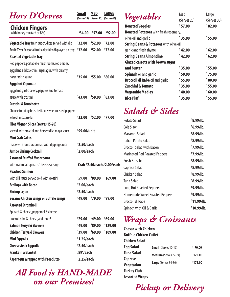#### *Hors D'Oevres* **Small MED LARGE**

**(Serves 15) (Serves 25) (Serves 40)**

| <b>Chicken Fingers</b><br>with honey mustard or BBQ           | \$34.00                | \$57.00 | \$92.00                       |
|---------------------------------------------------------------|------------------------|---------|-------------------------------|
| Vegetable Tray fresh cut crudites served with dip             | \$32.00                | \$52.00 | \$72.00                       |
| <b>Fruit Tray</b> Seasonal fruit colorfully displayed on tray | \$32.00                | \$52.00 | \$72.00                       |
| <b>Roasted Vegetable Tray</b>                                 |                        |         |                               |
| Red peppers, portabello mushrooms, red onions,                |                        |         |                               |
| eggplant, add zucchini, asparagus, with creamy                |                        |         |                               |
| horseradish sauce                                             | \$35.00                | \$55.00 | \$80.00                       |
| <b>Eggplant Caponata</b>                                      |                        |         |                               |
| Eggplant, garlic, celery, peppers and tomato                  |                        |         |                               |
| sauce with crostini                                           | \$43.00                | \$58.00 | \$83.00                       |
| Crostini & Bruschetta                                         |                        |         |                               |
| Choose topping: bruschetta or sweet roasted peppers           |                        |         |                               |
| & fresh mozzarella                                            | \$32.00                | \$52.00 | \$77.00                       |
| <b>Filet Mignon Slices (serves 15-20)</b>                     |                        |         |                               |
| served with crostini and horseradish mayo sauce               | $$99.00$ /unit         |         |                               |
| <b>Mini Crab Cakes</b>                                        |                        |         |                               |
| made with lump crabmeat, with dipping sauce                   | $52.50$ /each          |         |                               |
| <b>Jumbo Shrimp Cocktail</b>                                  | $$2.00$ /each          |         |                               |
| <b>Assorted Stuffed Mushrooms</b>                             |                        |         |                               |
| with crabmeat, spinach/cheese, sausage                        |                        |         | Crab \$2.50/each, \$2.00/each |
| <b>Poached Salmon</b>                                         |                        |         |                               |
| with dill sauce served cold with crostini                     | \$59.00                | \$89.00 | \$169.00                      |
| <b>Scallops with Bacon</b>                                    | \$2.00/each            |         |                               |
| <b>Shrimp Lejon</b>                                           | $$2.50$ /each          |         |                               |
| <b>Sesame Chicken Wings or Buffalo Wings</b>                  | \$49.00                | \$79.00 | \$99.00                       |
| <b>Assorted Stromboli</b>                                     |                        |         |                               |
| Spinach & cheese, pepperoni & cheese,                         |                        |         |                               |
| broccoli rabe & cheese, and more!                             | \$29.00                | \$49.00 | \$69.00                       |
| Salmon Teriyaki Skewers                                       | \$49.00                | \$89.00 | \$129.00                      |
| <b>Chicken Teriyaki Skewers</b>                               | \$39.00                | \$69.00 | \$109.00                      |
| <b>Mini Eggrolls</b>                                          | $$1.25$ /each          |         |                               |
| <b>Cheesesteak Eggrolls</b>                                   | $$2.50$ /each          |         |                               |
| <b>Franks in a Blanket</b>                                    | $.89^{\text{c}}$ /each |         |                               |
| <b>Asparagus wrapped with Prosciutto</b>                      | $$2.25$ /each          |         |                               |

#### *All Food is HAND-MADE on our Premises!*

| Vegetables                                         | Med<br>(Serves 20) | Large<br>(Serves 30) |
|----------------------------------------------------|--------------------|----------------------|
| <b>Roasted Veggies</b>                             | \$57.00            | \$82.00              |
| <b>Roasted Potatoes</b> with fresh rosemary,       |                    |                      |
| olive oil and garlic                               | \$35.00            | \$55.00              |
| <b>String Beans &amp; Potatoes with olive oil,</b> |                    |                      |
| garlic and fresh thyme                             | \$42.00            | \$62.00              |
| <b>String Beans Almondine</b>                      | \$42.00            | \$62.00              |
| <b>Glazed carrots with brown sugar</b>             |                    |                      |
| and butter                                         | \$35.00            | \$55.00              |
| <b>Spinach oil and garlic</b>                      | \$50.00            | \$75.00              |
| <b>Broccoli di Rabe oil and garlic</b>             | \$55.00            | \$80.00              |
| Zucchini & Tomato                                  | \$35.00            | \$55.00              |
| <b>Vegetable Medley</b>                            | \$40.00            | \$60.00              |
| <b>Rice Piaf</b>                                   | \$35.00            | \$55.00              |

#### *Salads & Sides*

| Potato Salad                          | \$8.99/lb.    |
|---------------------------------------|---------------|
| Cole Slaw                             | $6.99$ /lb.   |
| Macaroni Salad                        | \$8.99/lb.    |
| Italian Potato Salad                  | \$8.99/lb.    |
| Broccoli Salad with Bacon             | $57.99$ /lb.  |
| <b>Marinated Red Roasted Peppers</b>  | $57.99$ /lb.  |
| Fresh Bruschetta                      | \$8.99/lb.    |
| Caprese Salad                         | \$8.99/lb.    |
| Chicken Salad                         | \$8.99/lb.    |
| Tuna Salad                            | \$8.99/lb.    |
| Long Hot Roasted Peppers              | \$9.99/lb.    |
| <b>Homemade Sweet Roasted Peppers</b> | \$9.99/lb.    |
| Broccoli di Rabe                      | \$11.99/lb.   |
| Spinach with Oil & Garlic             | $$10.99$ /lb. |

#### *Wraps & Croissants*

| <b>Caesar with Chicken</b>    |                              |          |
|-------------------------------|------------------------------|----------|
| <b>Buffalo Chicken Cutlet</b> |                              |          |
| <b>Chicken Salad</b>          |                              |          |
| <b>Egg Salad</b>              | <b>Small</b> (Serves 10-12)  | \$70.00  |
| Tuna Salad                    | <b>Medium</b> (Serves 22-24) | \$120.00 |
| <b>Caprese</b>                |                              |          |
| Vegetarian                    | <b>Large</b> (Serves 34-36)  | \$175.00 |
| <b>Turkey Club</b>            |                              |          |
| <b>Assorted Wraps</b>         |                              |          |

*Pickup or Delivery*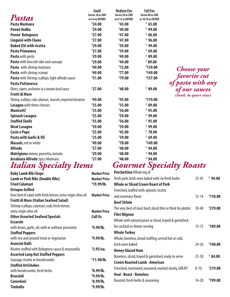|                                                              | <b>Small</b>      | <b>Medium Pan</b> | <b>Full Pan</b>    |                         |
|--------------------------------------------------------------|-------------------|-------------------|--------------------|-------------------------|
| Pastas                                                       | Serves 10 as SIDE | Serves 20 as SIDE | Serves 40 as SIDE  |                         |
|                                                              | or 4-6 as ENTREE  | or 8-12 as ENTREE | or 18-24 as ENTREE |                         |
| <b>Pasta Marinara</b>                                        | \$24.00           | \$45.00           | \$65.00            |                         |
| <b>Penné Vodka</b>                                           | \$29.00           | \$49.00           | \$99.00            |                         |
| <b>Penné Bolognese</b>                                       | \$27.00           | \$47.00           | \$86.00            |                         |
| <b>Linguini with Clams</b>                                   | \$37.00           | \$47.00           | \$96.00            |                         |
| <b>Baked Ziti with ricotta</b>                               | \$29.00           | \$59.00           | \$99.00            |                         |
| <b>Pasta Primavera</b>                                       | \$27.00           | \$39.00           | \$69.00            |                         |
| <b>Pasta</b> with pesto                                      | \$29.00           | \$49.00           | \$89.00            |                         |
| Pasta with broccoli rabe and sausage                         | \$29.00           | \$49.00           | \$89.00            |                         |
| Pasta with shrimp marinara                                   | \$49.00           | \$72.00           | \$139.00           | <b>Choose</b> your      |
| Pasta with shrimp scampi                                     | \$49.00           | \$77.00           | \$149.00           |                         |
| Pasta with Shrimp, scallops, light alfredo sauce             | \$51.00           | \$79.00           | \$157.00           | favorite cut            |
| <b>Pasta Puttanesca</b>                                      |                   |                   |                    | of pasta with any       |
| Olives, capers, anchovies in a tomato basil sauce            | \$27.00           | \$48.00           | \$89.00            | of our sauces           |
| <b>Frutti di Mare</b>                                        |                   |                   |                    | (Avail. in quart sizes) |
| Shrimp, scallops, crab, calamari, mussels, imported tomatoes | \$49.00           | \$95.00           | \$179.00           |                         |
| Lasagna with three cheeses                                   | \$35.00           | \$55.00           | \$89.00            |                         |
| Manicotti`                                                   | \$35.00           | \$56.00           | \$95.00            |                         |
| Spinach Lasagna                                              | \$35.00           | \$59.00           | \$99.00            |                         |
| <b>Stuffed Shells</b>                                        | \$35.00           | \$56.00           | \$95.00            |                         |
| <b>Meat Lasagna</b>                                          | \$39.00           | \$59.00           | \$99.00            |                         |
| <b>Cacio e Pepe</b>                                          | \$25.00           | \$45.00           | \$78.00            |                         |
| <b>Pasta with Garlic &amp; Oil</b>                           | \$25.00           | \$39.00           | \$69.00            |                         |
| <b>Mussels, red or white</b>                                 | \$49.00           | \$78.00           | \$149.00           |                         |
| <b>Alfredo</b>                                               | \$27.00           | \$48.00           | \$94.00            |                         |
| Matrigiana onions, pancetta, tomato                          | \$29.00           | \$48.00           | \$94.00            |                         |
| <b>Arrabiata Alfredo Spicy Marinara</b>                      | \$27.00           | \$48.00           | \$94.00            |                         |

#### *Italian Specialty Items*

| <b>Baby Lamb Rib Chops</b>                                 | <b>Market Price</b> | Porchettina Whole leg of       |
|------------------------------------------------------------|---------------------|--------------------------------|
| <b>Lamb or Pork Ribs (Double Ribs)</b>                     | <b>Market Price</b> | fresh pork, brick oven bake    |
| <b>Fried Calamari</b>                                      | \$19.99/lb.         | <b>Whole or Sliced Crown F</b> |
| <b>Octopus Grilled</b>                                     |                     | Frenched, stuffed with spir    |
| Over bed of salad with fresh lemon, extra virgin olive oil | <b>Market Price</b> | and rosemary flavor            |
| <b>Frutti di Mare (Italian Seafood Salad)</b>              |                     | <b>Beef Sirloin</b>            |
| Shrimp scallops, calamari, crab, fresh lemon,              |                     | The very best of roast beef    |
| extra virgin olive oil                                     | <b>Market Price</b> | <b>Filet Mignon</b>            |
| <b>Other Assorted Seafood Specials</b>                     | <b>Call Us</b>      |                                |
| <b>Escarole</b>                                            |                     | Whole with natural juices      |
| with beans, garlic, oil, with or without prosciutto        | \$9.99/lb.          | for cocktail or dinner servir  |
| <b>Stuffed Peppers</b>                                     |                     | <b>Whole Turkey</b>            |
| with rice and ground meat or vegetarian                    | \$9.99/lb.          | Whole, boneless, bread stu     |
| <b>Arancini Balls</b>                                      |                     | brick oven baked               |
| Risotto stuffed with Bolognese sauce & mozzarella          | $$3.95$ /ea.        | <b>Honey Glazed Ham</b>        |
| <b>Assorted Long Hot Stuffed Peppers</b>                   |                     | Boneless, sliced, trayed & g   |
| Sausage, ricotta or breadcrumbs                            | \$11.90/lb.         | <b>Crown Roasted Lamb - /</b>  |
| <b>Stuffed Artichokes</b>                                  |                     |                                |
| with breadcrumbs, fresh herbs                              | \$8.99/lb.          | Frenched, marinated, seaso     |
| <b>Brascioli</b>                                           | \$9.99/lb.          | <b>Veal - Roast - Boneless</b> |
| <b>Canneloni</b>                                           | \$8.99/lb.          | Roasted, fresh herbs & seas    |
| <b>Timballo</b>                                            | \$9.99/lb.          |                                |

#### *Gourmet Specialty Roasts*

| <b>PUICHELLING WHOLE IEG OF</b>                               |           |                      |
|---------------------------------------------------------------|-----------|----------------------|
| fresh pork, brick oven baked with six fresh herbs             | $35 - 43$ | \$94.00              |
| Whole or Sliced Crown Roast of Pork                           |           |                      |
| Frenched, stuffed with spinach, ricotta                       |           |                      |
| and rosemary flavor                                           | $12 - 14$ | \$118.00             |
| <b>Beef Sirloin</b>                                           |           |                      |
| The very best of roast beef, sliced thin or thick for platter | $30 - 40$ | <sup>\$</sup> 279.00 |
| <b>Filet Mignon</b>                                           |           |                      |
| Whole with natural juices or sliced, trayed & garnished,      |           |                      |
| for cocktail or dinner serving                                | $13 - 15$ | \$189.00             |
| <b>Whole Turkey</b>                                           |           |                      |
| Whole, boneless, bread stuffing, served hot or cold,          |           |                      |
| brick oven baked                                              | $24 - 26$ | \$148.00             |
| <b>Honey Glazed Ham</b>                                       |           |                      |
| Boneless, sliced, trayed & garnished, ready to serve          | $25 - 30$ | \$84.00              |
| <b>Crown Roasted Lamb - American</b>                          |           |                      |
| Frenched, marinated, seasoned, roasted slowly, GREAT!         | $8 - 10$  | \$219.00             |
| <b>Veal - Roast - Boneless</b>                                |           |                      |
| Roasted, fresh herbs & seasoning                              | $16 - 20$ | <sup>\$</sup> 199.00 |
|                                                               |           |                      |
|                                                               |           |                      |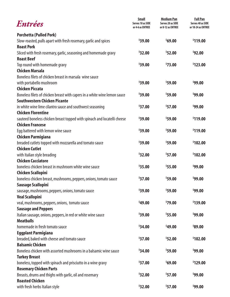| <b>Entrées</b>                                                            | <b>Small</b><br>Serves 10 as SIDE<br>or 4-6 as ENTREE | <b>Medium Pan</b><br>Serves 20 as SIDE<br>or 8-12 as ENTREE | <b>Full Pan</b><br>Serves 40 as SIDE<br>or 18-24 as ENTREE |
|---------------------------------------------------------------------------|-------------------------------------------------------|-------------------------------------------------------------|------------------------------------------------------------|
| <b>Porchetta (Pulled Pork)</b>                                            |                                                       |                                                             |                                                            |
| Slow-roasted, pulls apart with fresh rosemary, garlic and spices          | \$39.00                                               | \$69.00                                                     | \$119.00                                                   |
| <b>Roast Pork</b>                                                         |                                                       |                                                             |                                                            |
| Sliced with fresh rosemary, garlic, seasoning and homemade gravy          | \$32.00                                               | \$52.00                                                     | \$92.00                                                    |
| <b>Roast Beef</b>                                                         |                                                       |                                                             |                                                            |
| Top round with homemade gravy                                             | \$39.00                                               | \$73.00                                                     | \$123.00                                                   |
| <b>Chicken Marsala</b>                                                    |                                                       |                                                             |                                                            |
| Boneless filets of chicken breast in marsala wine sauce                   |                                                       |                                                             |                                                            |
| with portabello mushroom                                                  | \$39.00                                               | \$59.00                                                     | \$99.00                                                    |
| <b>Chicken Piccata</b>                                                    |                                                       |                                                             |                                                            |
| Boneless filets of chicken breast with capers in a white wine lemon sauce | \$39.00                                               | \$59.00                                                     | \$99.00                                                    |
| <b>Southwestern Chicken Picante</b>                                       |                                                       |                                                             |                                                            |
| in white wine lime cilantro sauce and southwest seasoning                 | \$37.00                                               | \$57.00                                                     | \$99.00                                                    |
| <b>Chicken Florentine</b>                                                 |                                                       |                                                             |                                                            |
| sauteed boneless chicken breast topped with spinach and locatelli cheese  | \$39.00                                               | \$59.00                                                     | \$119.00                                                   |
| <b>Chicken Francese</b>                                                   |                                                       |                                                             |                                                            |
| Egg battered with lemon wine sauce                                        | \$39.00                                               | \$59.00                                                     | \$119.00                                                   |
| <b>Chicken Parmigiana</b>                                                 |                                                       |                                                             |                                                            |
| breaded cutlets topped with mozzarella and tomato sauce                   | \$39.00                                               | \$59.00                                                     | \$102.00                                                   |
| <b>Chicken Cutlet</b>                                                     |                                                       |                                                             |                                                            |
| with Italian style breading                                               | \$32.00                                               | \$57.00                                                     | \$102.00                                                   |
| <b>Chicken Cacciatore</b>                                                 |                                                       |                                                             |                                                            |
| boneless chicken breast in mushroom white wine sauce                      | \$35.00                                               | \$55.00                                                     | \$99.00                                                    |
| <b>Chicken Scallopini</b>                                                 |                                                       |                                                             |                                                            |
| boneless chicken breast, mushrooms, peppers, onions, tomato sauce         | \$37.00                                               | \$59.00                                                     | \$99.00                                                    |
| Sausage Scallopini                                                        |                                                       |                                                             |                                                            |
| sausage, mushrooms, peppers, onions, tomato sauce                         | \$39.00                                               | \$59.00                                                     | \$99.00                                                    |
| <b>Veal Scallopini</b>                                                    |                                                       |                                                             |                                                            |
| veal, mushrooms, peppers, onions, tomato sauce                            | \$49.00                                               | \$79.00                                                     | \$139.00                                                   |
| <b>Sausage and Peppers</b>                                                |                                                       |                                                             |                                                            |
| Italian sausage, onions, peppers, in red or white wine sauce              | \$39.00                                               | \$55.00                                                     | \$99.00                                                    |
| <b>Meatballs</b>                                                          |                                                       |                                                             |                                                            |
| homemade in fresh tomato sauce                                            | \$34.00                                               | \$49.00                                                     | \$89.00                                                    |
| <b>Eggplant Parmigiana</b>                                                |                                                       |                                                             |                                                            |
| breaded, baked with cheese and tomato sauce                               | \$37.00                                               | \$52.00                                                     | \$102.00                                                   |
| <b>Balsamic Chicken</b>                                                   |                                                       |                                                             |                                                            |
| Boneless chicken with assorted mushrooms in a balsamic wine sauce         | \$34.00                                               | \$59.00                                                     | \$99.00                                                    |
| <b>Turkey Breast</b>                                                      |                                                       |                                                             |                                                            |
| boneless, topped with spinach and prisciutto in a wine gravy              | \$37.00                                               | \$69.00                                                     | \$129.00                                                   |
| <b>Rosemary Chicken Parts</b>                                             |                                                       |                                                             |                                                            |
| Breasts, drums and thighs with garlic, oil and rosemary                   | \$32.00                                               | \$57.00                                                     | \$99.00                                                    |
| <b>Roasted Chicken</b>                                                    |                                                       |                                                             |                                                            |
| with fresh herbs Italian style                                            | \$32.00                                               | \$57.00                                                     | \$99.00                                                    |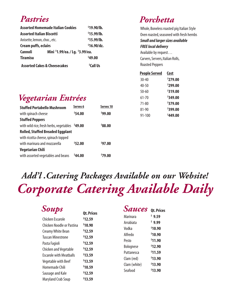#### *Pastries*

| <b>Assorted Homemade Italian Cookies</b>                    | \$19.90/lb.<br>\$15.99/lb.<br>\$15.99/lb.<br>$$16.90$ /dz. |                       |                                 |
|-------------------------------------------------------------|------------------------------------------------------------|-----------------------|---------------------------------|
| <b>Assorted Italian Biscotti</b>                            |                                                            |                       |                                 |
| Anisette, lemon, choc., etc.<br><b>Cream puffs, eclairs</b> |                                                            |                       |                                 |
|                                                             |                                                            | <b>Cannoli</b>        | Mini \$1.99/ea./ Lg. \$3.99/ea. |
| <b>Tiramisu</b>                                             |                                                            | \$49.00               |                                 |
| <b>Assorted Cakes &amp; Cheesecakes</b>                     |                                                            | <sup>\$</sup> Call Us |                                 |

#### *Porchetta*

Whole, Boneless roasted pig Italian Style Oven roasted, seasoned with fresh hernbs *Small and larger sizes available FREE local delivery* Available by request… Carvers, Servers, Italian Rolls, Roasted Peppers

| <b>People Served</b> | Cost                 |
|----------------------|----------------------|
| $30 - 40$            | \$279.00             |
| $40 - 50$            | \$299.00             |
| 50-60                | <sup>\$</sup> 319.00 |
| 61-70                | \$349,00             |
| 71-80                | \$379.00             |
| 81-90                | \$399.00             |
| 91-100               | \$449.00             |
|                      |                      |

### *Vegetarian Entrées*

| <b>Stuffed Portabello Mushroom</b>              | Serves <sub>6</sub> | Serves <sub>10</sub> |
|-------------------------------------------------|---------------------|----------------------|
| with spinach cheese                             | \$54.00             | \$99.00              |
| <b>Stuffed Peppers</b>                          |                     |                      |
| with wild rice, fresh herbs, vegetables \$49.00 |                     | \$88.00              |
| <b>Rolled, Stuffed Breaded Eggplant</b>         |                     |                      |
| with ricotta cheese, spinach topped             |                     |                      |
| with marinara and mozzarella                    | \$52.00             | \$97.00              |
| <b>Vegetarian Chili</b>                         |                     |                      |
| with assorted vegetables and beans              | 544.00              | <sup>\$</sup> 79.00  |

# *Add'l .Catering Packages Available on our Website! Corporate Catering Available Daily*

| Soups                                                                                                                                                                                           |                                                                                                | <b>Sauces</b>                                                                                      | <b>Ot. Prices</b>                                                                  |
|-------------------------------------------------------------------------------------------------------------------------------------------------------------------------------------------------|------------------------------------------------------------------------------------------------|----------------------------------------------------------------------------------------------------|------------------------------------------------------------------------------------|
| <b>Chicken Escarole</b><br>Chicken Noodle or Pastina<br><b>Creamy White Bean</b><br><b>Tuscan Minestrone</b><br>Pasta Fagioli<br><b>Chicken and Vegetable</b><br><b>Escarole with Meatballs</b> | <b>Qt. Prices</b><br>\$12.59<br>\$10.90<br>\$12.59<br>\$12.59<br>\$12.59<br>\$12.59<br>\$13.59 | <b>Marinara</b><br>Arrabiata<br>Vodka<br>Alfredo<br>Pesto<br>Bolognese<br>Puttanesca<br>Clam (red) | \$9.59<br>\$9.99<br>\$10.90<br>\$10.90<br>\$11.90<br>\$12.90<br>\$11.59<br>\$13.90 |
| Vegetable with Beef<br>Homemade Chili<br>Sausage and Kale<br><b>Maryland Crab Soup</b>                                                                                                          | \$13.59<br>\$10.59<br>\$12.59<br>\$13.59                                                       | Clam (white)<br>Seafood                                                                            | \$13.90<br>\$13.90                                                                 |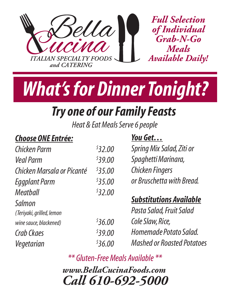



# *Try one of our Family Feasts*

*Heat & Eat Meals Serve 6 people*

#### *Choose ONE Entrée:*

#### *You Get…*

| \$32.00 | Spring Mix Salad, Ziti or         |
|---------|-----------------------------------|
| \$39.00 | Spaghetti Marinara,               |
| \$35.00 | <b>Chicken Fingers</b>            |
| \$35.00 | or Bruschetta with Bread.         |
| \$32.00 |                                   |
|         | <b>Substitutions Available</b>    |
|         | Pasta Salad, Fruit Salad          |
| 536.00  | Cole Slaw, Rice,                  |
| \$39.00 | Homemade Potato Salad.            |
| \$36.00 | <b>Mashed or Roasted Potatoes</b> |
|         |                                   |

*\*\* Gluten-Free Meals Available \*\**

*Call 610-692-5000 www.BellaCucinaFoods.com*